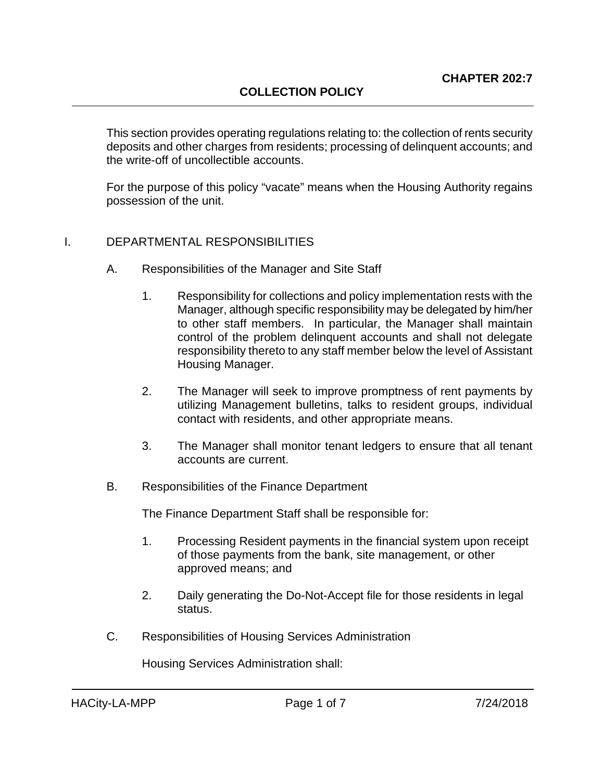This section provides operating regulations relating to: the collection of rents security deposits and other charges from residents; processing of delinquent accounts; and the write-off of uncollectible accounts.

For the purpose of this policy "vacate" means when the Housing Authority regains possession of the unit.

#### I. DEPARTMENTAL RESPONSIBILITIES

- A. Responsibilities of the Manager and Site Staff
	- 1. Responsibility for collections and policy implementation rests with the Manager, although specific responsibility may be delegated by him/her to other staff members. In particular, the Manager shall maintain control of the problem delinquent accounts and shall not delegate responsibility thereto to any staff member below the level of Assistant Housing Manager.
	- 2. The Manager will seek to improve promptness of rent payments by utilizing Management bulletins, talks to resident groups, individual contact with residents, and other appropriate means.
	- 3. The Manager shall monitor tenant ledgers to ensure that all tenant accounts are current.
- B. Responsibilities of the Finance Department

The Finance Department Staff shall be responsible for:

- 1. Processing Resident payments in the financial system upon receipt of those payments from the bank, site management, or other approved means; and
- 2. Daily generating the Do-Not-Accept file for those residents in legal status.
- C. Responsibilities of Housing Services Administration

Housing Services Administration shall: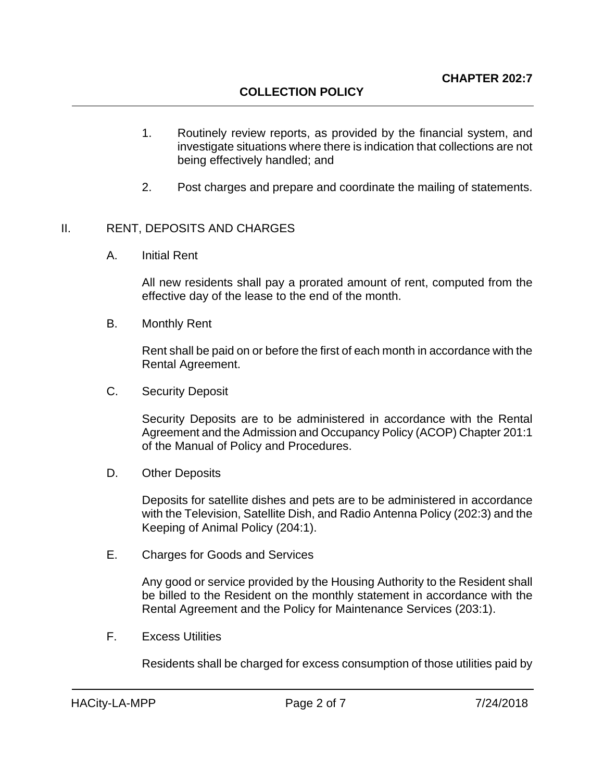- 1. Routinely review reports, as provided by the financial system, and investigate situations where there is indication that collections are not being effectively handled; and
- 2. Post charges and prepare and coordinate the mailing of statements.

#### II. RENT, DEPOSITS AND CHARGES

A. Initial Rent

All new residents shall pay a prorated amount of rent, computed from the effective day of the lease to the end of the month.

B. Monthly Rent

Rent shall be paid on or before the first of each month in accordance with the Rental Agreement.

C. Security Deposit

Security Deposits are to be administered in accordance with the Rental Agreement and the Admission and Occupancy Policy (ACOP) Chapter 201:1 of the Manual of Policy and Procedures.

D. Other Deposits

Deposits for satellite dishes and pets are to be administered in accordance with the Television, Satellite Dish, and Radio Antenna Policy (202:3) and the Keeping of Animal Policy (204:1).

E. Charges for Goods and Services

Any good or service provided by the Housing Authority to the Resident shall be billed to the Resident on the monthly statement in accordance with the Rental Agreement and the Policy for Maintenance Services (203:1).

F. Excess Utilities

Residents shall be charged for excess consumption of those utilities paid by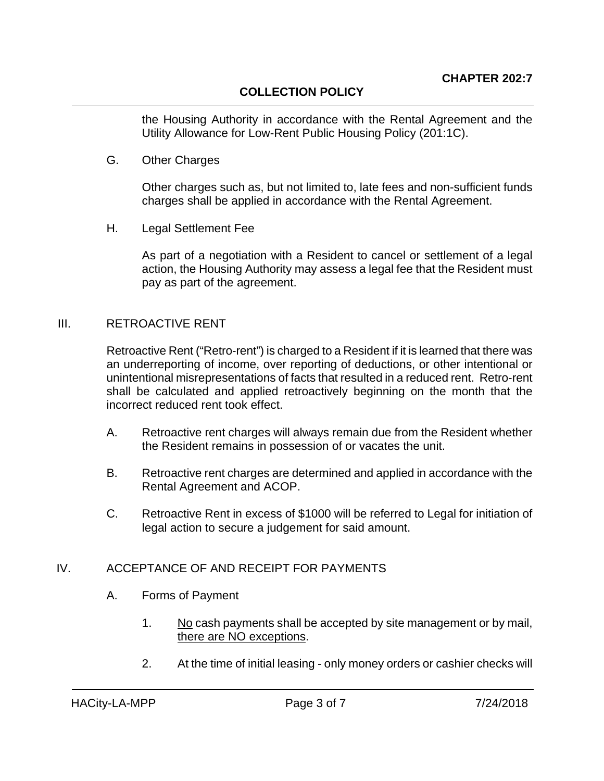# **COLLECTION POLICY**

the Housing Authority in accordance with the Rental Agreement and the Utility Allowance for Low-Rent Public Housing Policy (201:1C).

G. Other Charges

Other charges such as, but not limited to, late fees and non-sufficient funds charges shall be applied in accordance with the Rental Agreement.

H. Legal Settlement Fee

As part of a negotiation with a Resident to cancel or settlement of a legal action, the Housing Authority may assess a legal fee that the Resident must pay as part of the agreement.

### III. RETROACTIVE RENT

Retroactive Rent ("Retro-rent") is charged to a Resident if it is learned that there was an underreporting of income, over reporting of deductions, or other intentional or unintentional misrepresentations of facts that resulted in a reduced rent. Retro-rent shall be calculated and applied retroactively beginning on the month that the incorrect reduced rent took effect.

- A. Retroactive rent charges will always remain due from the Resident whether the Resident remains in possession of or vacates the unit.
- B. Retroactive rent charges are determined and applied in accordance with the Rental Agreement and ACOP.
- C. Retroactive Rent in excess of \$1000 will be referred to Legal for initiation of legal action to secure a judgement for said amount.

### IV. ACCEPTANCE OF AND RECEIPT FOR PAYMENTS

- A. Forms of Payment
	- 1. No cash payments shall be accepted by site management or by mail, there are NO exceptions.
	- 2. At the time of initial leasing only money orders or cashier checks will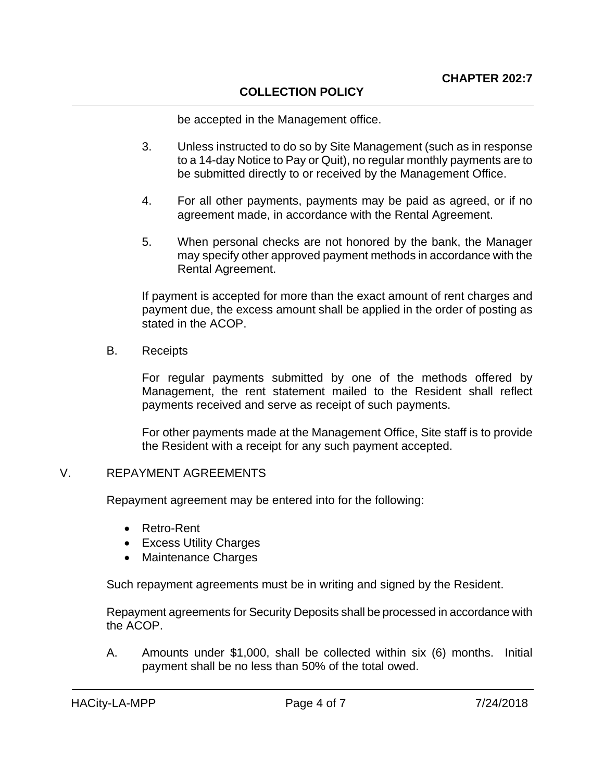#### **COLLECTION POLICY**

be accepted in the Management office.

- 3. Unless instructed to do so by Site Management (such as in response to a 14-day Notice to Pay or Quit), no regular monthly payments are to be submitted directly to or received by the Management Office.
- 4. For all other payments, payments may be paid as agreed, or if no agreement made, in accordance with the Rental Agreement.
- 5. When personal checks are not honored by the bank, the Manager may specify other approved payment methods in accordance with the Rental Agreement.

If payment is accepted for more than the exact amount of rent charges and payment due, the excess amount shall be applied in the order of posting as stated in the ACOP.

B. Receipts

For regular payments submitted by one of the methods offered by Management, the rent statement mailed to the Resident shall reflect payments received and serve as receipt of such payments.

For other payments made at the Management Office, Site staff is to provide the Resident with a receipt for any such payment accepted.

#### V. REPAYMENT AGREEMENTS

Repayment agreement may be entered into for the following:

- Retro-Rent
- Excess Utility Charges
- Maintenance Charges

Such repayment agreements must be in writing and signed by the Resident.

Repayment agreements for Security Deposits shall be processed in accordance with the ACOP.

A. Amounts under \$1,000, shall be collected within six (6) months. Initial payment shall be no less than 50% of the total owed.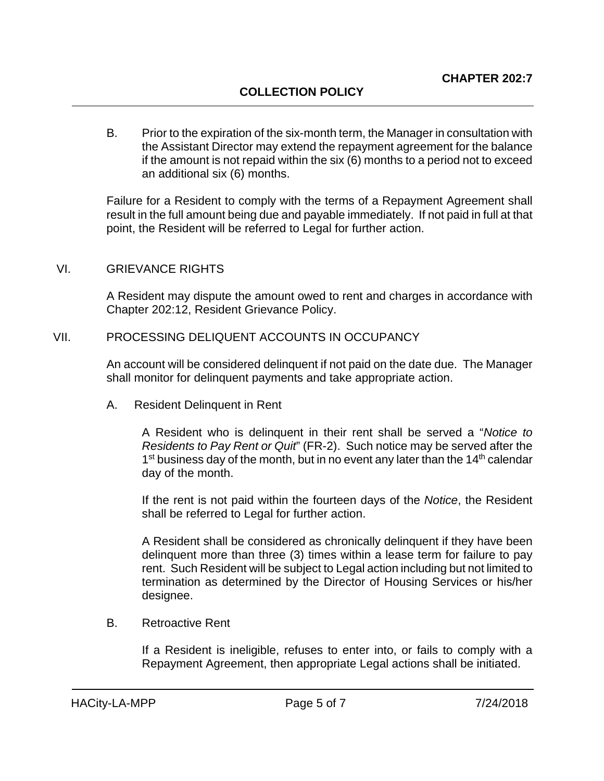B. Prior to the expiration of the six-month term, the Manager in consultation with the Assistant Director may extend the repayment agreement for the balance if the amount is not repaid within the six (6) months to a period not to exceed an additional six (6) months.

Failure for a Resident to comply with the terms of a Repayment Agreement shall result in the full amount being due and payable immediately. If not paid in full at that point, the Resident will be referred to Legal for further action.

#### VI. GRIEVANCE RIGHTS

A Resident may dispute the amount owed to rent and charges in accordance with Chapter 202:12, Resident Grievance Policy.

#### VII. PROCESSING DELIQUENT ACCOUNTS IN OCCUPANCY

An account will be considered delinquent if not paid on the date due. The Manager shall monitor for delinquent payments and take appropriate action.

A. Resident Delinquent in Rent

A Resident who is delinquent in their rent shall be served a "*Notice to Residents to Pay Rent or Quit*" (FR-2). Such notice may be served after the  $1<sup>st</sup>$  business day of the month, but in no event any later than the  $14<sup>th</sup>$  calendar day of the month.

If the rent is not paid within the fourteen days of the *Notice*, the Resident shall be referred to Legal for further action.

A Resident shall be considered as chronically delinquent if they have been delinquent more than three (3) times within a lease term for failure to pay rent. Such Resident will be subject to Legal action including but not limited to termination as determined by the Director of Housing Services or his/her designee.

B. Retroactive Rent

If a Resident is ineligible, refuses to enter into, or fails to comply with a Repayment Agreement, then appropriate Legal actions shall be initiated.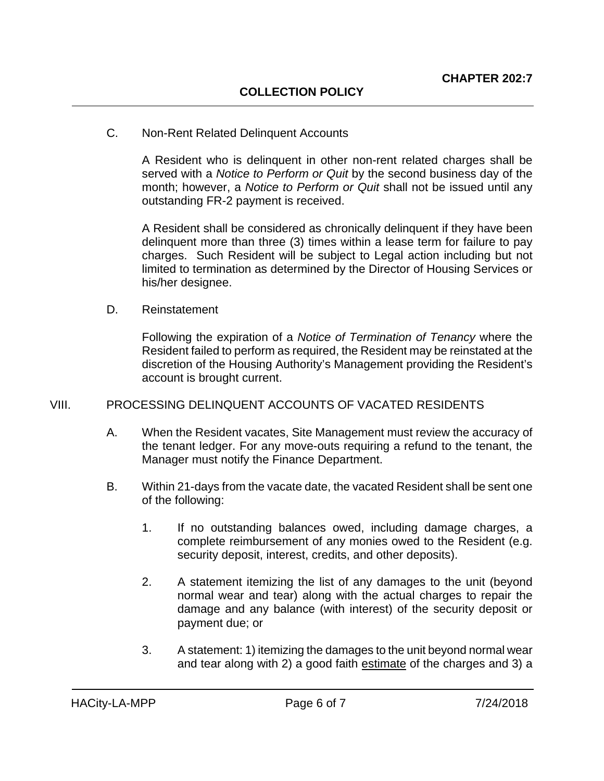#### C. Non-Rent Related Delinquent Accounts

A Resident who is delinquent in other non-rent related charges shall be served with a *Notice to Perform or Quit* by the second business day of the month; however, a *Notice to Perform or Quit* shall not be issued until any outstanding FR-2 payment is received.

A Resident shall be considered as chronically delinquent if they have been delinquent more than three (3) times within a lease term for failure to pay charges. Such Resident will be subject to Legal action including but not limited to termination as determined by the Director of Housing Services or his/her designee.

#### D. Reinstatement

Following the expiration of a *Notice of Termination of Tenancy* where the Resident failed to perform as required, the Resident may be reinstated at the discretion of the Housing Authority's Management providing the Resident's account is brought current.

#### VIII. PROCESSING DELINQUENT ACCOUNTS OF VACATED RESIDENTS

- A. When the Resident vacates, Site Management must review the accuracy of the tenant ledger. For any move-outs requiring a refund to the tenant, the Manager must notify the Finance Department.
- B. Within 21-days from the vacate date, the vacated Resident shall be sent one of the following:
	- 1. If no outstanding balances owed, including damage charges, a complete reimbursement of any monies owed to the Resident (e.g. security deposit, interest, credits, and other deposits).
	- 2. A statement itemizing the list of any damages to the unit (beyond normal wear and tear) along with the actual charges to repair the damage and any balance (with interest) of the security deposit or payment due; or
	- 3. A statement: 1) itemizing the damages to the unit beyond normal wear and tear along with 2) a good faith estimate of the charges and 3) a